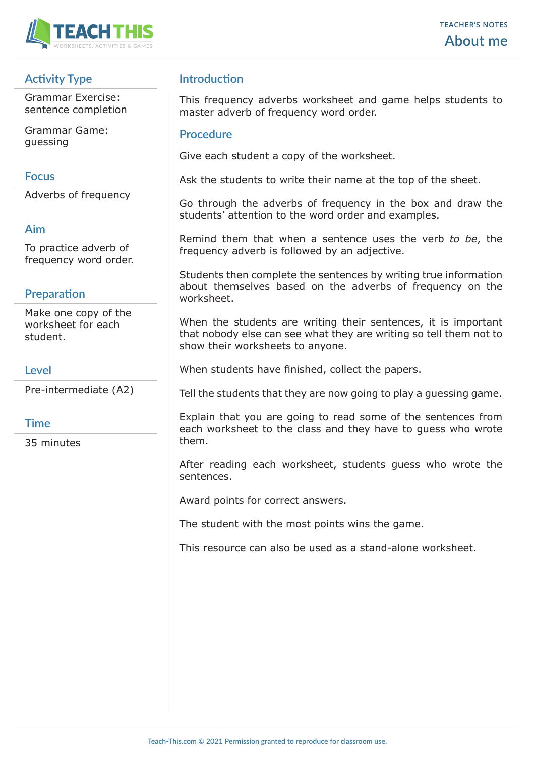

# **Activity Type**

Grammar Exercise: sentence completion

Grammar Game: guessing

#### **Focus**

Adverbs of frequency

### **Aim**

To practice adverb of frequency word order.

### **Preparation**

Make one copy of the worksheet for each student.

### **Level**

Pre-intermediate (A2)

### **Time**

35 minutes

## **Introduction**

This frequency adverbs worksheet and game helps students to master adverb of frequency word order.

#### **Procedure**

Give each student a copy of the worksheet.

Ask the students to write their name at the top of the sheet.

Go through the adverbs of frequency in the box and draw the students' attention to the word order and examples.

Remind them that when a sentence uses the verb *to be*, the frequency adverb is followed by an adjective.

Students then complete the sentences by writing true information about themselves based on the adverbs of frequency on the worksheet.

When the students are writing their sentences, it is important that nobody else can see what they are writing so tell them not to show their worksheets to anyone.

When students have finished, collect the papers.

Tell the students that they are now going to play a guessing game.

Explain that you are going to read some of the sentences from each worksheet to the class and they have to guess who wrote them.

After reading each worksheet, students guess who wrote the sentences.

Award points for correct answers.

The student with the most points wins the game.

This resource can also be used as a stand-alone worksheet.